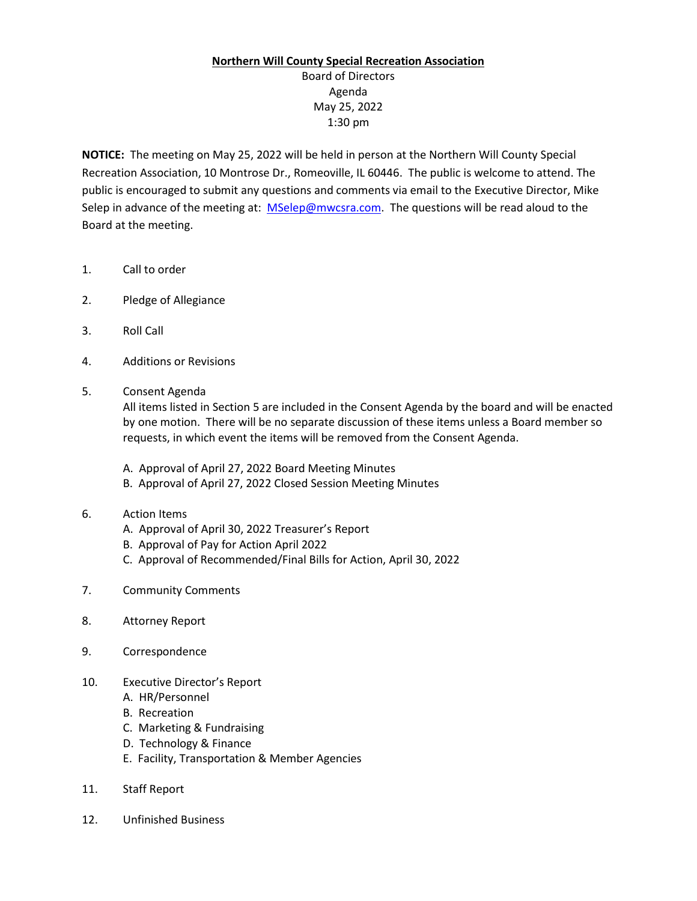## **Northern Will County Special Recreation Association**

Board of Directors Agenda May 25, 2022 1:30 pm

**NOTICE:** The meeting on May 25, 2022 will be held in person at the Northern Will County Special Recreation Association, 10 Montrose Dr., Romeoville, IL 60446. The public is welcome to attend. The public is encouraged to submit any questions and comments via email to the Executive Director, Mike Selep in advance of the meeting at: [MSelep@mwcsra.com.](mailto:MSelep@mwcsra.com) The questions will be read aloud to the Board at the meeting.

- 1. Call to order
- 2. Pledge of Allegiance
- 3. Roll Call
- 4. Additions or Revisions
- 5. Consent Agenda

All items listed in Section 5 are included in the Consent Agenda by the board and will be enacted by one motion. There will be no separate discussion of these items unless a Board member so requests, in which event the items will be removed from the Consent Agenda.

- A. Approval of April 27, 2022 Board Meeting Minutes
- B. Approval of April 27, 2022 Closed Session Meeting Minutes
- 6. Action Items
	- A. Approval of April 30, 2022 Treasurer's Report
	- B. Approval of Pay for Action April 2022
	- C. Approval of Recommended/Final Bills for Action, April 30, 2022
- 7. Community Comments
- 8. Attorney Report
- 9. Correspondence
- 10. Executive Director's Report
	- A. HR/Personnel
	- B. Recreation
	- C. Marketing & Fundraising
	- D. Technology & Finance
	- E. Facility, Transportation & Member Agencies
- 11. Staff Report
- 12. Unfinished Business